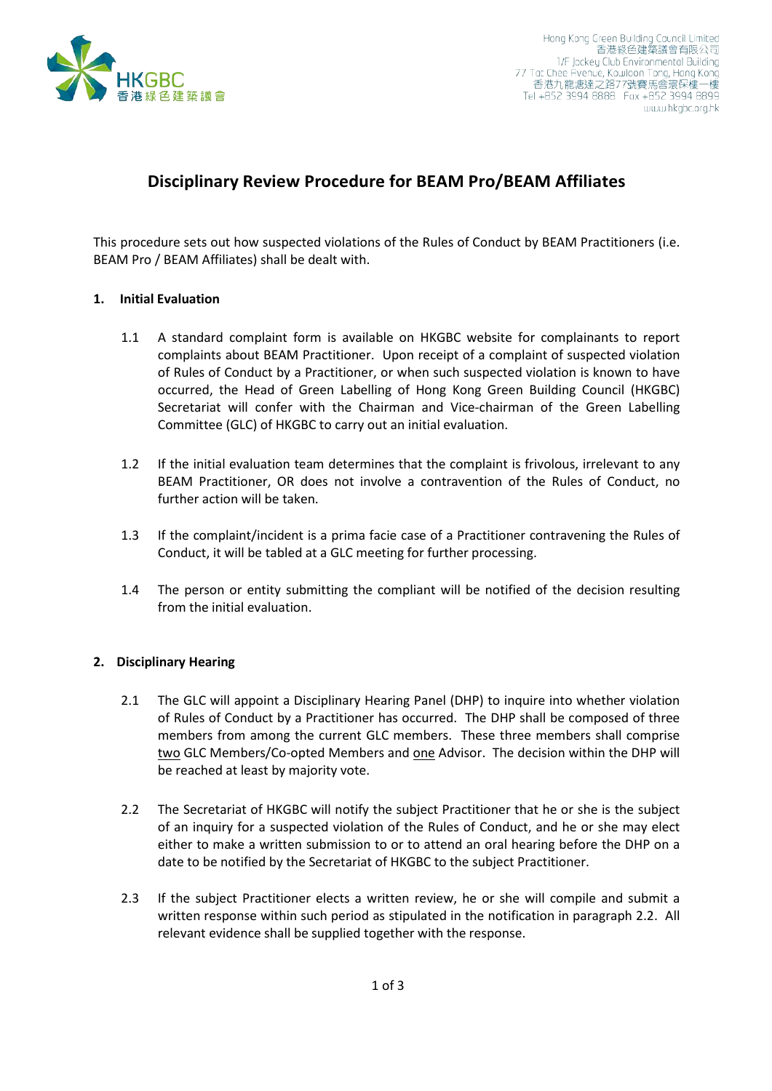

## **Disciplinary Review Procedure for BEAM Pro/BEAM Affiliates**

This procedure sets out how suspected violations of the Rules of Conduct by BEAM Practitioners (i.e. BEAM Pro / BEAM Affiliates) shall be dealt with.

## **1. Initial Evaluation**

- 1.1 A standard complaint form is available on HKGBC website for complainants to report complaints about BEAM Practitioner. Upon receipt of a complaint of suspected violation of Rules of Conduct by a Practitioner, or when such suspected violation is known to have occurred, the Head of Green Labelling of Hong Kong Green Building Council (HKGBC) Secretariat will confer with the Chairman and Vice-chairman of the Green Labelling Committee (GLC) of HKGBC to carry out an initial evaluation.
- 1.2 If the initial evaluation team determines that the complaint is frivolous, irrelevant to any BEAM Practitioner, OR does not involve a contravention of the Rules of Conduct, no further action will be taken.
- 1.3 If the complaint/incident is a prima facie case of a Practitioner contravening the Rules of Conduct, it will be tabled at a GLC meeting for further processing.
- 1.4 The person or entity submitting the compliant will be notified of the decision resulting from the initial evaluation.

## **2. Disciplinary Hearing**

- 2.1 The GLC will appoint a Disciplinary Hearing Panel (DHP) to inquire into whether violation of Rules of Conduct by a Practitioner has occurred. The DHP shall be composed of three members from among the current GLC members. These three members shall comprise two GLC Members/Co-opted Members and one Advisor. The decision within the DHP will be reached at least by majority vote.
- 2.2 The Secretariat of HKGBC will notify the subject Practitioner that he or she is the subject of an inquiry for a suspected violation of the Rules of Conduct, and he or she may elect either to make a written submission to or to attend an oral hearing before the DHP on a date to be notified by the Secretariat of HKGBC to the subject Practitioner.
- 2.3 If the subject Practitioner elects a written review, he or she will compile and submit a written response within such period as stipulated in the notification in paragraph 2.2. All relevant evidence shall be supplied together with the response.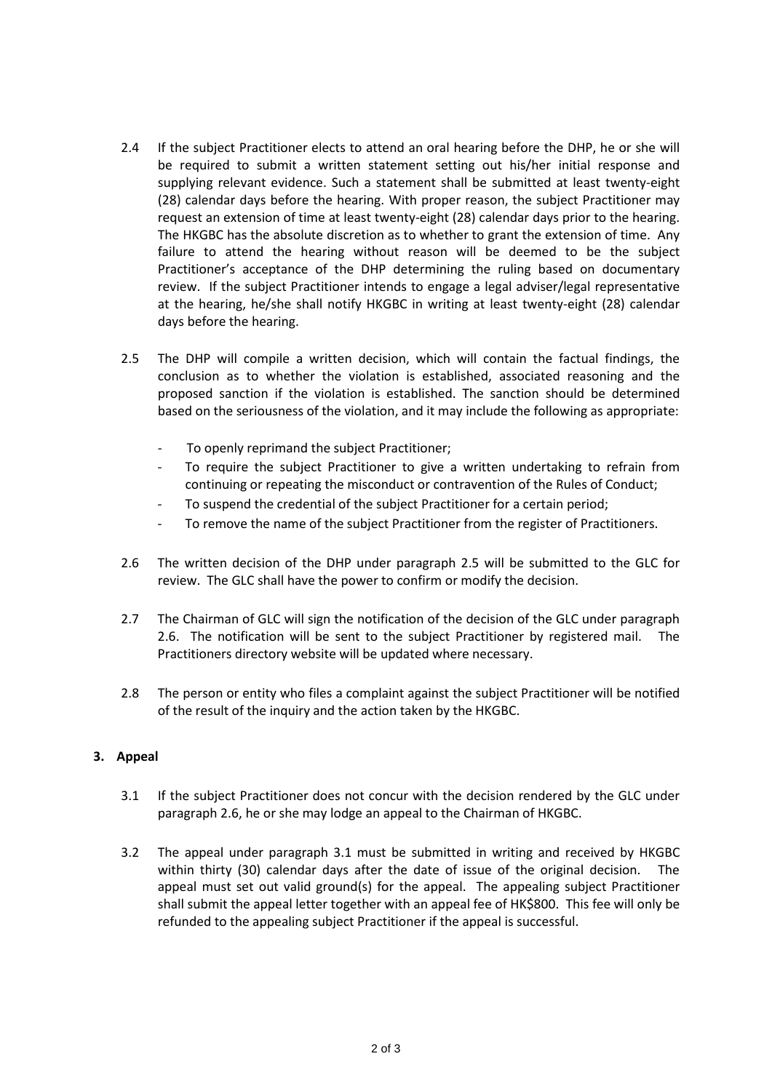- 2.4 If the subject Practitioner elects to attend an oral hearing before the DHP, he or she will be required to submit a written statement setting out his/her initial response and supplying relevant evidence. Such a statement shall be submitted at least twenty-eight (28) calendar days before the hearing. With proper reason, the subject Practitioner may request an extension of time at least twenty-eight (28) calendar days prior to the hearing. The HKGBC has the absolute discretion as to whether to grant the extension of time. Any failure to attend the hearing without reason will be deemed to be the subject Practitioner's acceptance of the DHP determining the ruling based on documentary review. If the subject Practitioner intends to engage a legal adviser/legal representative at the hearing, he/she shall notify HKGBC in writing at least twenty-eight (28) calendar days before the hearing.
- 2.5 The DHP will compile a written decision, which will contain the factual findings, the conclusion as to whether the violation is established, associated reasoning and the proposed sanction if the violation is established. The sanction should be determined based on the seriousness of the violation, and it may include the following as appropriate:
	- To openly reprimand the subject Practitioner;
	- To require the subject Practitioner to give a written undertaking to refrain from continuing or repeating the misconduct or contravention of the Rules of Conduct;
	- To suspend the credential of the subject Practitioner for a certain period;
	- To remove the name of the subject Practitioner from the register of Practitioners.
- 2.6 The written decision of the DHP under paragraph 2.5 will be submitted to the GLC for review. The GLC shall have the power to confirm or modify the decision.
- 2.7 The Chairman of GLC will sign the notification of the decision of the GLC under paragraph 2.6. The notification will be sent to the subject Practitioner by registered mail. The Practitioners directory website will be updated where necessary.
- 2.8 The person or entity who files a complaint against the subject Practitioner will be notified of the result of the inquiry and the action taken by the HKGBC.

## **3. Appeal**

- 3.1 If the subject Practitioner does not concur with the decision rendered by the GLC under paragraph 2.6, he or she may lodge an appeal to the Chairman of HKGBC.
- 3.2 The appeal under paragraph 3.1 must be submitted in writing and received by HKGBC within thirty (30) calendar days after the date of issue of the original decision. The appeal must set out valid ground(s) for the appeal. The appealing subject Practitioner shall submit the appeal letter together with an appeal fee of HK\$800. This fee will only be refunded to the appealing subject Practitioner if the appeal is successful.